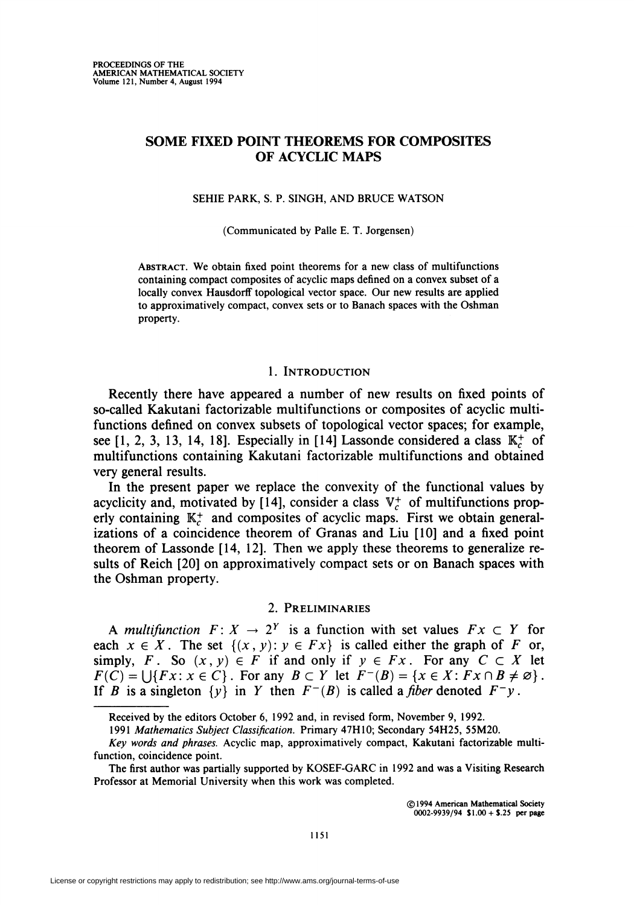# SOME FIXED POINT THEOREMS FOR COMPOSITES OF ACYCLIC MAPS

SEHIE PARK, S. P. SINGH, AND BRUCE WATSON

(Communicated by Palle E. T. Jorgensen)

Abstract. We obtain fixed point theorems for a new class of multifunctions containing compact composites of acyclic maps defined on a convex subset of a locally convex Hausdorff topological vector space. Our new results are applied to approximatively compact, convex sets or to Banach spaces with the Oshman property.

### 1. Introduction

Recently there have appeared a number of new results on fixed points of so-called Kakutani factorizable multifunctions or composites of acyclic multifunctions defined on convex subsets of topological vector spaces; for example, see [1, 2, 3, 13, 14, 18]. Especially in [14] Lassonde considered a class  $\mathbb{K}_c^+$  of multifunctions containing Kakutani factorizable multifunctions and obtained very general results.

In the present paper we replace the convexity of the functional values by acyclicity and, motivated by [14], consider a class  $V_c^+$  of multifunctions properly containing  $K_c^+$  and composites of acyclic maps. First we obtain generalizations of a coincidence theorem of Granas and Liu [10] and a fixed point theorem of Lassonde [14, 12]. Then we apply these theorems to generalize results of Reich [20] on approximatively compact sets or on Banach spaces with the Oshman property.

## 2. Preliminaries

A multifunction  $F: X \to 2^Y$  is a function with set values  $Fx \subset Y$  for each  $x \in X$ . The set  $\{(x, y): y \in Fx\}$  is called either the graph of F or, simply, F. So  $(x, y) \in F$  if and only if  $y \in Fx$ . For any  $C \subset X$  let  $F(C) = \bigcup \{Fx : x \in C\}$ . For any  $B \subset Y$  let  $F^{-}(B) = \{x \in X : Fx \cap B \neq \emptyset\}$ . If B is a singleton  $\{y\}$  in Y then  $F^{-}(B)$  is called a *fiber* denoted  $F^{-}y$ .

Received by the editors October 6, 1992 and, in revised form, November 9, 1992.

<sup>1991</sup> Mathematics Subject Classification. Primary 47H10; Secondary 54H25, 55M20.

Key words and phrases. Acyclic map, approximatively compact, Kakutani factorizable multifunction, coincidence point.

The first author was partially supported by KOSEF-GARC in 1992 and was a Visiting Research Professor at Memorial University when this work was completed.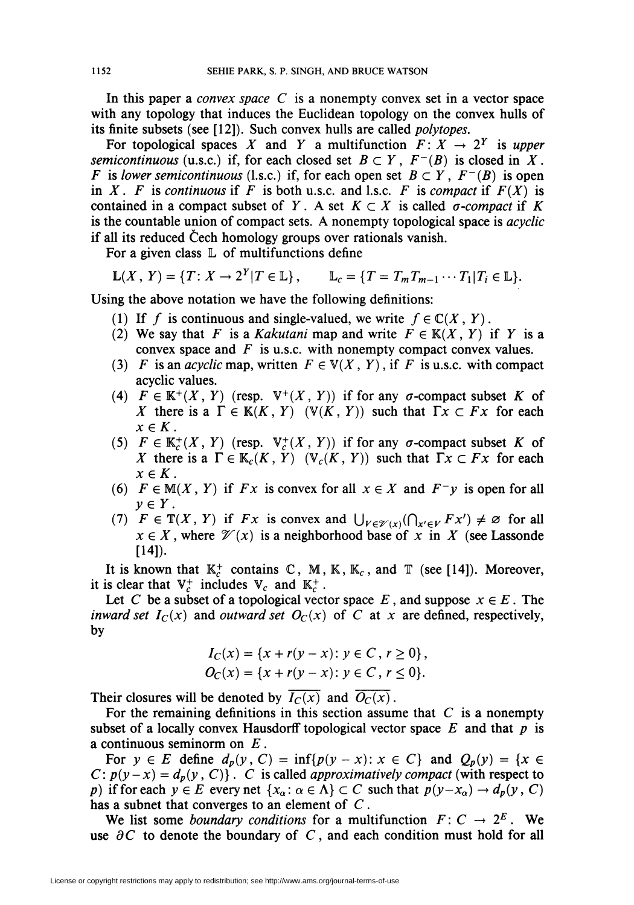In this paper a *convex space*  $C$  is a nonempty convex set in a vector space with any topology that induces the Euclidean topology on the convex hulls of its finite subsets (see [12]). Such convex hulls are called polytopes.

For topological spaces X and Y a multifunction  $F: X \rightarrow 2^Y$  is upper semicontinuous (u.s.c.) if, for each closed set  $B \subset Y$ ,  $F^{-1}(B)$  is closed in X. F is lower semicontinuous (l.s.c.) if, for each open set  $B \subset Y$ ,  $F^{-1}(B)$  is open in X. F is continuous if F is both u.s.c. and l.s.c. F is compact if  $F(X)$  is contained in a compact subset of Y. A set  $K \subset X$  is called  $\sigma$ -compact if K is the countable union of compact sets. A nonempty topological space is *acyclic* if all its reduced Cech homology groups over rationals vanish.

For a given class  $\mathbb L$  of multifunctions define

$$
\mathbb{L}(X, Y) = \{T: X \to 2^Y | T \in \mathbb{L}\}, \qquad \mathbb{L}_c = \{T = T_m T_{m-1} \cdots T_1 | T_i \in \mathbb{L}\}.
$$

Using the above notation we have the following definitions:

- (1) If f is continuous and single-valued, we write  $f \in \mathbb{C}(X, Y)$ .
- (2) We say that F is a Kakutani map and write  $F \in K(X, Y)$  if Y is a convex space and  $F$  is u.s.c. with nonempty compact convex values.
- (3) F is an acyclic map, written  $F \in V(X, Y)$ , if F is u.s.c. with compact acyclic values.
- (4)  $F \in K^+(X, Y)$  (resp.  $V^+(X, Y)$ ) if for any  $\sigma$ -compact subset K of X there is a  $\Gamma \in K(K, Y)$  (V(K, Y)) such that  $\Gamma x \subset Fx$  for each  $x \in K$ .
- (5)  $F \in \mathbb{K}^+_{c}(X, Y)$  (resp.  $\mathbb{V}^+_{c}(X, Y)$ ) if for any  $\sigma$ -compact subset K of X there is a  $\Gamma \in \mathbb{K}_c(K, Y)$   $(\mathbb{V}_c(K, Y))$  such that  $\Gamma x \subset Fx$  for each  $x \in K$ .
- (6)  $F \in M(X, Y)$  if  $Fx$  is convex for all  $x \in X$  and  $F^{-}y$  is open for all  $y \in Y$ .
- (7)  $F \in \mathbb{T}(X, Y)$  if  $Fx$  is convex and  $\bigcup_{V \in \mathcal{V}(X)}(\bigcap_{x' \in V} Fx') \neq \emptyset$  for all  $x \in X$ , where  $\mathcal{V}(x)$  is a neighborhood base of x in X (see Lassonde  $[14]$ ).

It is known that  $\mathbb{K}_c^+$  contains C, M, K,  $\mathbb{K}_c$ , and T (see [14]). Moreover, it is clear that  $V_c^+$  includes  $V_c$  and  $K_c^+$ .

Let C be a subset of a topological vector space E, and suppose  $x \in E$ . The inward set  $I_C(x)$  and outward set  $O_C(x)$  of C at x are defined, respectively, by

$$
I_C(x) = \{x + r(y - x) : y \in C, r \ge 0\},\,
$$
  
\n
$$
O_C(x) = \{x + r(y - x) : y \in C, r \le 0\}.
$$

Their closures will be denoted by  $\overline{I_C(x)}$  and  $\overline{O_C(x)}$ .

For the remaining definitions in this section assume that  $C$  is a nonempty subset of a locally convex Hausdorff topological vector space  $E$  and that  $p$  is a continuous seminorm on  $E$ .

For  $y \in E$  define  $d_p(y, C) = \inf\{p(y - x): x \in C\}$  and  $Q_p(y) = \{x \in E\}$  $C: p(y-x) = d_p(y, C)$ . C is called *approximatively compact* (with respect to p) if for each  $y \in E$  every net  $\{x_\alpha : \alpha \in \Lambda\} \subset C$  such that  $p(y-x_\alpha) \to d_p(y, C)$ has a subnet that converges to an element of C.

We list some *boundary conditions* for a multifunction  $F: C \rightarrow 2^E$ . We use  $\partial C$  to denote the boundary of C, and each condition must hold for all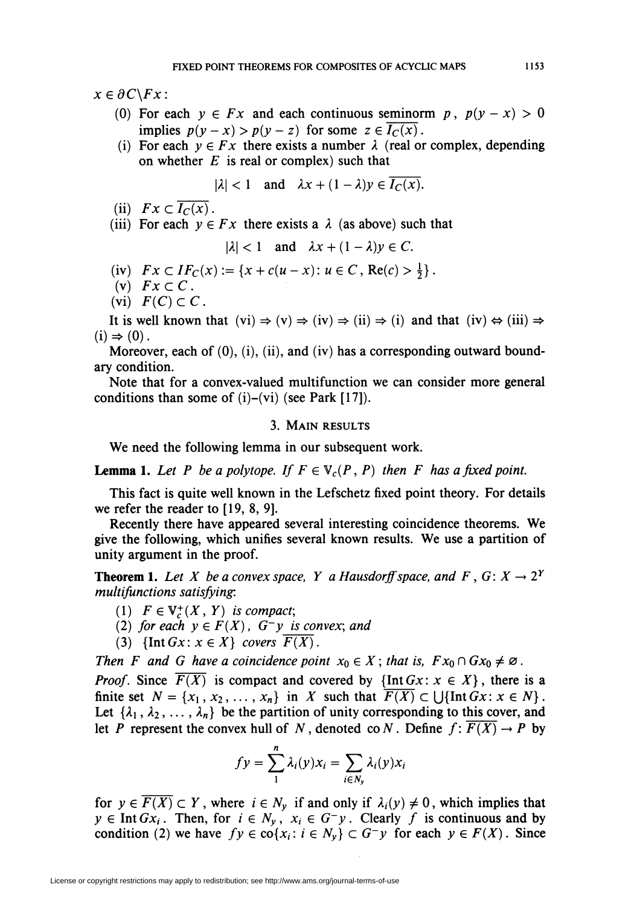$x \in \partial C \backslash F_x$ :

- (0) For each  $y \in Fx$  and each continuous seminorm p,  $p(y x) > 0$ implies  $p(y-x) > p(y-z)$  for some  $z \in I_C(x)$ .
- (i) For each  $y \in Fx$  there exists a number  $\lambda$  (real or complex, depending on whether  $E$  is real or complex) such that

$$
|\lambda| < 1 \quad \text{and} \quad \lambda x + (1 - \lambda) y \in \overline{I_C(x)}.
$$

- (ii)  $Fx \subset I_C(x)$ .
- (iii) For each  $y \in Fx$  there exists a  $\lambda$  (as above) such that

$$
|\lambda| < 1 \quad \text{and} \quad \lambda x + (1 - \lambda)y \in C.
$$

- (iv)  $Fx \subset IF_C(x) := \{x + c(u-x): u \in C, \text{Re}(c) > \frac{1}{2}\}.$
- (v)  $Fx\subset C$ .
- (vi)  $F(C) \subset C$ .

It is well known that  $(vi) \Rightarrow (v) \Rightarrow (iv) \Rightarrow (ii) \Rightarrow (i)$  and that  $(iv) \Leftrightarrow (iii) \Rightarrow$  $(i) \Rightarrow (0)$ .

Moreover, each of (0), (i), (ii), and (iv) has a corresponding outward boundary condition.

Note that for a convex-valued multifunction we can consider more general conditions than some of  $(i)$ – $(vi)$  (see Park [17]).

### 3. Main results

We need the following lemma in our subsequent work.

**Lemma 1.** Let P be a polytope. If  $F \in V_c(P, P)$  then F has a fixed point.

This fact is quite well known in the Lefschetz fixed point theory. For details we refer the reader to [19, 8, 9].

Recently there have appeared several interesting coincidence theorems. We give the following, which unifies several known results. We use a partition of unity argument in the proof.

**Theorem 1.** Let X be a convex space, Y a Hausdorff space, and F, G:  $X \rightarrow 2^Y$ multifunctions satisfying:

- (1)  $F \in V_c^+(X, Y)$  is compact;
- (2) for each  $y \in F(X)$ ,  $G^-y$  is convex; and
- (3) {Int  $Gx$ :  $x \in X$ } covers  $\overline{F(X)}$ .

Then F and G have a coincidence point  $x_0 \in X$ ; that is,  $Fx_0 \cap Gx_0 \neq \emptyset$ .

*Proof.* Since  $\overline{F(X)}$  is compact and covered by  $\{\text{Int }Gx : x \in X\}$ , there is a finite set  $N = \{x_1, x_2, ..., x_n\}$  in X such that  $\overline{F(X)} \subset \bigcup \{\text{Int }Gx : x \in N\}$ . Let  $\{\lambda_1, \lambda_2, \ldots, \lambda_n\}$  be the partition of unity corresponding to this cover, and let P represent the convex hull of N, denoted co N. Define  $f: \overline{F(X)} \to P$  by

$$
fy = \sum_{1}^{n} \lambda_i(y) x_i = \sum_{i \in N_y} \lambda_i(y) x_i
$$

for  $y \in \overline{F(X)} \subset Y$ , where  $i \in N_{y}$  if and only if  $\lambda_{i}(y) \neq 0$ , which implies that  $y \in \text{Int } Gx_i$ . Then, for  $i \in N_y$ ,  $x_i \in G^-y$ . Clearly f is continuous and by condition (2) we have  $fy \in \text{co}\{x_i : i \in N_y\} \subset G^-y$  for each  $y \in F(X)$ . Since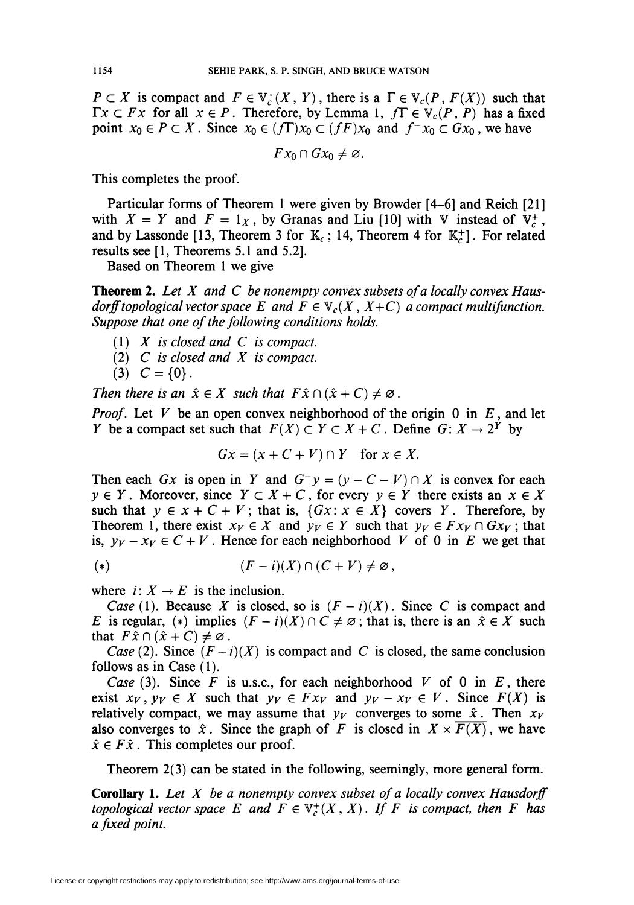$P \subset X$  is compact and  $F \in \mathbb{V}_c^+(X, Y)$ , there is a  $\Gamma \in \mathbb{V}_c(P, F(X))$  such that  $\Gamma x \subset Fx$  for all  $x \in P$ . Therefore, by Lemma 1,  $f\Gamma \in V_c(P, P)$  has a fixed point  $x_0 \in P \subset X$ . Since  $x_0 \in (f\Gamma)x_0 \subset (f\Gamma)x_0$  and  $f^{-1}x_0 \subset Gx_0$ , we have

$$
Fx_0\cap Gx_0\neq\varnothing.
$$

This completes the proof.

Particular forms of Theorem 1 were given by Browder [4-6] and Reich [21] with  $X = Y$  and  $F = 1_X$ , by Granas and Liu [10] with V instead of  $V_c^+$ , and by Lassonde [13, Theorem 3 for  $\mathbb{K}_c$ ; 14, Theorem 4 for  $\mathbb{K}_c^+$ ]. For related results see [1, Theorems 5.1 and 5.2].

Based on Theorem 1 we give

**Theorem 2.** Let X and C be nonempty convex subsets of a locally convex Hausdorff topological vector space E and  $F \in V_c(X, X+C)$  a compact multifunction. Suppose that one of the following conditions holds.

- $(1)$  X is closed and C is compact.
- (2)  $C$  is closed and  $X$  is compact.
- (3)  $C = \{0\}$ .

Then there is an  $\hat{x} \in X$  such that  $F\hat{x} \cap (\hat{x} + C) \neq \emptyset$ .

*Proof.* Let V be an open convex neighborhood of the origin 0 in  $E$ , and let Y be a compact set such that  $F(X) \subset Y \subset X + C$ . Define  $G: X \to 2^Y$  by

$$
Gx = (x + C + V) \cap Y \quad \text{for } x \in X.
$$

Then each Gx is open in Y and  $G^{-}y = (y - C - V) \cap X$  is convex for each  $y \in Y$ . Moreover, since  $Y \subset X + C$ , for every  $y \in Y$  there exists an  $x \in X$ such that  $y \in x + C + V$ ; that is,  $\{Gx : x \in X\}$  covers Y. Therefore, by Theorem 1, there exist  $x_V \in X$  and  $y_V \in Y$  such that  $y_V \in F x_V \cap G x_V$ ; that is,  $y_V - x_V \in C + V$ . Hence for each neighborhood V of 0 in E we get that

(\*) 
$$
(F - i)(X) \cap (C + V) \neq \emptyset,
$$

where  $i: X \to E$  is the inclusion.

Case (1). Because X is closed, so is  $(F - i)(X)$ . Since C is compact and E is regular, (\*) implies  $(F - i)(X) \cap C \neq \emptyset$ ; that is, there is an  $\hat{x} \in X$  such that  $F\hat{x} \cap (\hat{x} + C) \neq \emptyset$ .

Case (2). Since  $(F - i)(X)$  is compact and C is closed, the same conclusion follows as in Case (1).

Case (3). Since F is u.s.c., for each neighborhood V of 0 in E, there exist  $x_V$ ,  $y_V \in X$  such that  $y_V \in Fx_V$  and  $y_V - x_V \in V$ . Since  $F(X)$  is relatively compact, we may assume that  $y_V$  converges to some  $\hat{x}$ . Then  $x_V$ also converges to  $\hat{x}$ . Since the graph of F is closed in  $X \times \overline{F(X)}$ , we have  $\hat{x} \in F\hat{x}$ . This completes our proof.

Theorem 2(3) can be stated in the following, seemingly, more general form.

**Corollary 1.** Let  $X$  be a nonempty convex subset of a locally convex Hausdorff topological vector space E and  $F \in V_c^+(X,X)$ . If F is compact, then F has a fixed point.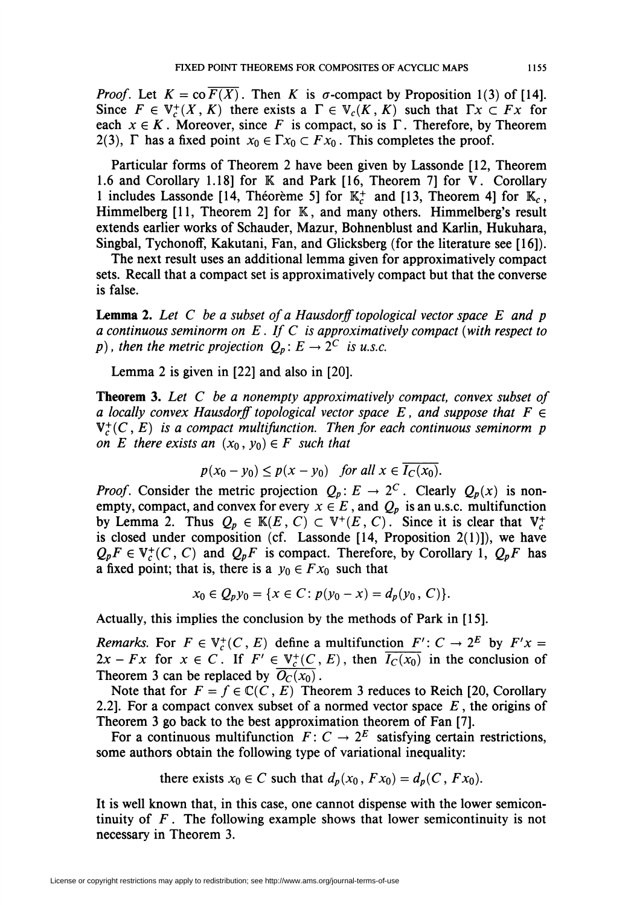*Proof.* Let  $K = \text{co } F(X)$ . Then K is  $\sigma$ -compact by Proposition 1(3) of [14]. Since  $F \in V_c^+(X, K)$  there exists a  $\Gamma \in V_c(K, K)$  such that  $\Gamma x \subset Fx$  for each  $x \in K$ . Moreover, since F is compact, so is  $\Gamma$ . Therefore, by Theorem 2(3),  $\Gamma$  has a fixed point  $x_0 \in \Gamma x_0 \subset F x_0$ . This completes the proof.

Particular forms of Theorem 2 have been given by Lassonde [12, Theorem 1.6 and Corollary 1.18] for K and Park [16, Theorem 7] for V. Corollary 1 includes Lassonde [14, Théorème 5] for  $\mathbb{K}^+$  and [13, Theorem 4] for  $\mathbb{K}_c$ , Himmelberg [11, Theorem 2] for K, and many others. Himmelberg's result extends earlier works of Schauder, Mazur, Bohnenblust and Karlin, Hukuhara, Singbal, Tychonoff, Kakutani, Fan, and Glicksberg (for the literature see [16]).

The next result uses an additional lemma given for approximatively compact sets. Recall that a compact set is approximatively compact but that the converse is false.

**Lemma 2.** Let C be a subset of a Hausdorff topological vector space E and p a continuous seminorm on  $E$  . If  $C$  is approximatively compact (with respect to p), then the metric projection  $Q_p: E \to 2^C$  is u.s.c.

Lemma 2 is given in [22] and also in [20].

**Theorem 3.** Let  $C$  be a nonempty approximatively compact, convex subset of a locally convex Hausdorff topological vector space E, and suppose that  $F \in$  $V_r^+(C, E)$  is a compact multifunction. Then for each continuous seminorm p on E there exists an  $(x_0, y_0) \in F$  such that

$$
p(x_0 - y_0) \le p(x - y_0) \quad for all x \in \overline{I_C(x_0)}.
$$

*Proof.* Consider the metric projection  $Q_p: E \to 2^C$ . Clearly  $Q_p(x)$  is nonempty, compact, and convex for every  $x \in E$ , and  $Q_p$  is an u.s.c. multifunction by Lemma 2. Thus  $Q_p \in \mathbb{K}(E, C) \subset \mathbb{V}^+(E, C)$ . Since it is clear that  $\mathbb{V}_c^+$ is closed under composition (cf. Lassonde  $[14,$  Proposition 2(1)]), we have  $Q_pF \in V_c^+(C, C)$  and  $Q_pF$  is compact. Therefore, by Corollary 1,  $Q_pF$  has a fixed point; that is, there is a  $y_0 \in Fx_0$  such that

$$
x_0 \in Q_p y_0 = \{x \in C : p(y_0 - x) = d_p(y_0, C)\}.
$$

Actually, this implies the conclusion by the methods of Park in [15].

Remarks. For  $F \in V_c^+(C, E)$  define a multifunction  $F' : C \to 2^E$  by  $F'x =$  $2x - Fx$  for  $x \in C$ . If  $F' \in V_c^+(C, E)$ , then  $\overline{I_c(x_0)}$  in the conclusion of Theorem 3 can be replaced by  $\overline{O_C(x_0)}$ .

Note that for  $F = f \in \mathbb{C}(C, E)$  Theorem 3 reduces to Reich [20, Corollary 2.2]. For a compact convex subset of a normed vector space  $E$ , the origins of Theorem 3 go back to the best approximation theorem of Fan [7].

For a continuous multifunction  $F: C \to 2^E$  satisfying certain restrictions, some authors obtain the following type of variational inequality:

there exists 
$$
x_0 \in C
$$
 such that  $d_p(x_0, Fx_0) = d_p(C, Fx_0)$ .

It is well known that, in this case, one cannot dispense with the lower semicontinuity of F. The following example shows that lower semicontinuity is not necessary in Theorem 3.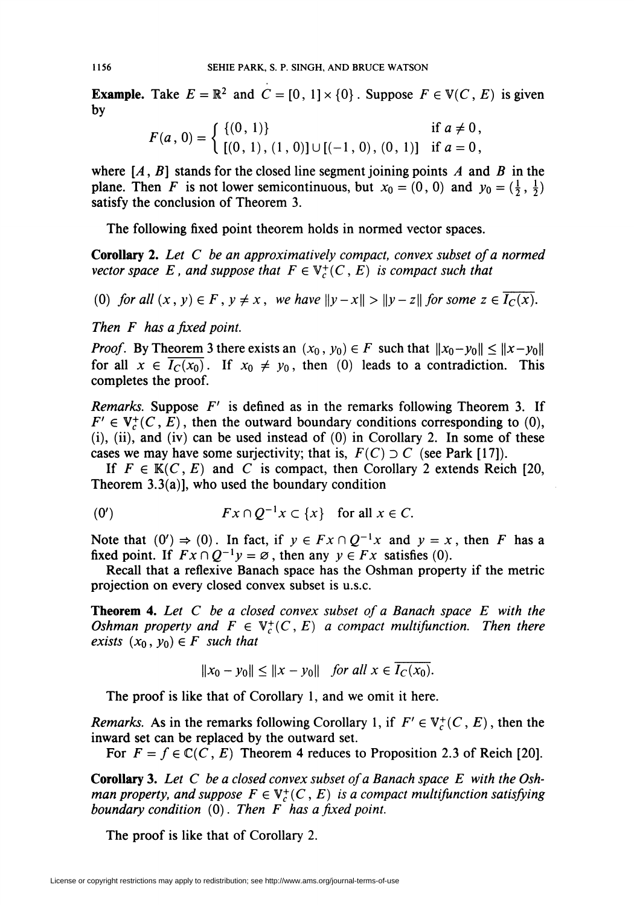**Example.** Take  $E = \mathbb{R}^2$  and  $C = [0, 1] \times \{0\}$ . Suppose  $F \in V(C, E)$  is given by

$$
F(a, 0) = \begin{cases} \{(0, 1)\} & \text{if } a \neq 0, \\ \{(0, 1), (1, 0)\} \cup \{(-1, 0), (0, 1)\} & \text{if } a = 0, \end{cases}
$$

where  $[A, B]$  stands for the closed line segment joining points A and B in the plane. Then F is not lower semicontinuous, but  $x_0 = (0, 0)$  and  $y_0 = (\frac{1}{2}, \frac{1}{2})$ satisfy the conclusion of Theorem 3.

The following fixed point theorem holds in normed vector spaces.

Corollary 2. Let C be an approximatively compact, convex subset of a normed vector space E, and suppose that  $F \in V_c^+(C, E)$  is compact such that

(0) for all  $(x, y) \in F$ ,  $y \neq x$ , we have  $\|y-x\| > \|y-z\|$  for some  $z \in \overline{I_C(x)}$ .

Then F has a fixed point.

*Proof.* By Theorem 3 there exists an  $(x_0, y_0) \in F$  such that  $||x_0 - y_0|| \le ||x - y_0||$ for all  $x \in \overline{I_C(x_0)}$ . If  $x_0 \neq y_0$ , then (0) leads to a contradiction. This completes the proof.

Remarks. Suppose  $F'$  is defined as in the remarks following Theorem 3. If  $F' \in V_c^+(C, E)$ , then the outward boundary conditions corresponding to (0),  $(i)$ ,  $(ii)$ , and  $(iv)$  can be used instead of  $(0)$  in Corollary 2. In some of these cases we may have some surjectivity; that is,  $F(C) \supset C$  (see Park [17]).

If  $F \in K(C, E)$  and C is compact, then Corollary 2 extends Reich [20, Theorem  $3.3(a)$ ], who used the boundary condition

$$
(0') \t Fx \cap Q^{-1}x \subset \{x\} \t for all  $x \in C$ .
$$

Note that  $(0') \Rightarrow (0)$ . In fact, if  $y \in Fx \cap Q^{-1}x$  and  $y = x$ , then F has a fixed point. If  $Fx \cap Q^{-1}y = \emptyset$ , then any  $y \in Fx$  satisfies (0).

Recall that a reflexive Banach space has the Oshman property if the metric projection on every closed convex subset is u.s.c.

**Theorem 4.** Let  $C$  be a closed convex subset of a Banach space  $E$  with the Oshman property and  $F \in V_c^+(C, E)$  a compact multifunction. Then there exists  $(x_0, y_0) \in F$  such that

$$
||x_0 - y_0|| \le ||x - y_0|| \quad \text{for all } x \in I_C(x_0).
$$

The proof is like that of Corollary 1, and we omit it here.

*Remarks.* As in the remarks following Corollary 1, if  $F' \in V^+_r(C, E)$ , then the inward set can be replaced by the outward set.

For  $F = f \in \mathbb{C}(C, E)$  Theorem 4 reduces to Proposition 2.3 of Reich [20].

**Corollary 3.** Let C be a closed convex subset of a Banach space E with the Oshman property, and suppose  $F \in V_c^+(C, E)$  is a compact multifunction satisfying boundary condition  $(0)$ . Then F has a fixed point.

The proof is like that of Corollary 2.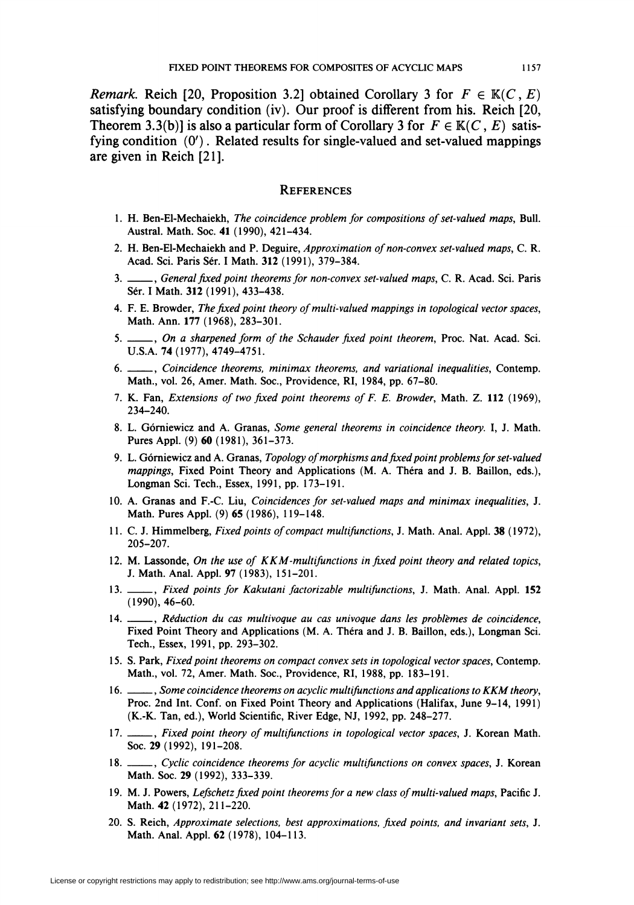*Remark.* Reich [20, Proposition 3.2] obtained Corollary 3 for  $F \in \mathbb{K}(C, E)$ satisfying boundary condition (iv). Our proof is different from his. Reich [20, Theorem 3.3(b)] is also a particular form of Corollary 3 for  $F \in K(C, E)$  satisfying condition  $(0')$ . Related results for single-valued and set-valued mappings are given in Reich [21].

### **REFERENCES**

- 1. H. Ben-El-Mechaiekh, The coincidence problem for compositions of set-valued maps, Bull. Austral. Math. Soc. 41 (1990), 421-434.
- 2. H. Ben-El-Mechaiekh and P. Deguire, Approximation of non-convex set-valued maps, C. R. Acad. Sei. Paris Sér. I Math. 312 (1991), 379-384.
- 3. \_\_\_, General fixed point theorems for non-convex set-valued maps, C. R. Acad. Sci. Paris Sér. I Math. 312 (1991), 433-438.
- 4. F. E. Browder, The fixed point theory of multi-valued mappings in topological vector spaces, Math. Ann. 177 (1968), 283-301.
- 5. \_\_\_, On a sharpened form of the Schauder fixed point theorem, Proc. Nat. Acad. Sci. U.S.A. 74(1977), 4749-4751.
- 6. \_\_\_\_, Coincidence theorems, minimax theorems, and variational inequalities, Contemp. Math., vol. 26, Amer. Math. Soc., Providence, RI, 1984, pp. 67-80.
- 7. K. Fan, Extensions of two fixed point theorems of F. E. Browder, Math. Z. 112 (1969), 234-240.
- 8. L. Górniewicz and A. Granas, Some general theorems in coincidence theory. I, J. Math. Pures Appl. (9) 60 (1981), 361-373.
- 9. L. Górniewicz and A. Granas, Topology of morphisms and fixed point problems for set-valued mappings, Fixed Point Theory and Applications (M. A. Théra and J. B. Bâillon, eds.), Longman Sei. Tech., Essex, 1991, pp. 173-191.
- 10. A. Granas and F.-C Liu, Coincidences for set-valued maps and minimax inequalities, J. Math. Pures Appl. (9) 65 (1986), 119-148.
- 11. C. J. Himmelberg, Fixed points of compact multifunctions, J. Math. Anal. Appl. 38 (1972), 205-207.
- 12. M. Lassonde, On the use of  $KKM$ -multifunctions in fixed point theory and related topics, J. Math. Anal. Appl. 97 (1983), 151-201.
- 13. \_\_\_, Fixed points for Kakutani factorizable multifunctions, J. Math. Anal. Appl. 152 (1990), 46-60.
- 14. \_\_\_, Réduction du cas multivoque au cas univoque dans les problèmes de coincidence, Fixed Point Theory and Applications (M. A. Théra and J. B. Bâillon, eds.), Longman Sei. Tech., Essex, 1991, pp. 293-302.
- 15. S. Park, Fixed point theorems on compact convex sets in topological vector spaces, Contemp. Math., vol. 72, Amer. Math. Soc, Providence, RI, 1988, pp. 183-191.
- 16. \_\_\_\_, Some coincidence theorems on acyclic multifunctions and applications to KKM theory, Proc. 2nd Int. Conf. on Fixed Point Theory and Applications (Halifax, June 9-14, 1991) (K.-K. Tan, ed.), World Scientific, River Edge, NJ, 1992, pp. 248-277.
- 17. \_\_\_\_\_, Fixed point theory of multifunctions in topological vector spaces, J. Korean Math. Soc. 29 (1992), 191-208.
- 18. \_\_\_\_, Cyclic coincidence theorems for acyclic multifunctions on convex spaces, J. Korean Math. Soc. 29 (1992), 333-339.
- 19. M. J. Powers, Lefschetz fixed point theorems for a new class of multi-valued maps, Pacific J. Math. 42 (1972), 211-220.
- 20. S. Reich, Approximate selections, best approximations, fixed points, and invariant sets, J. Math. Anal. Appl. 62 (1978), 104-113.